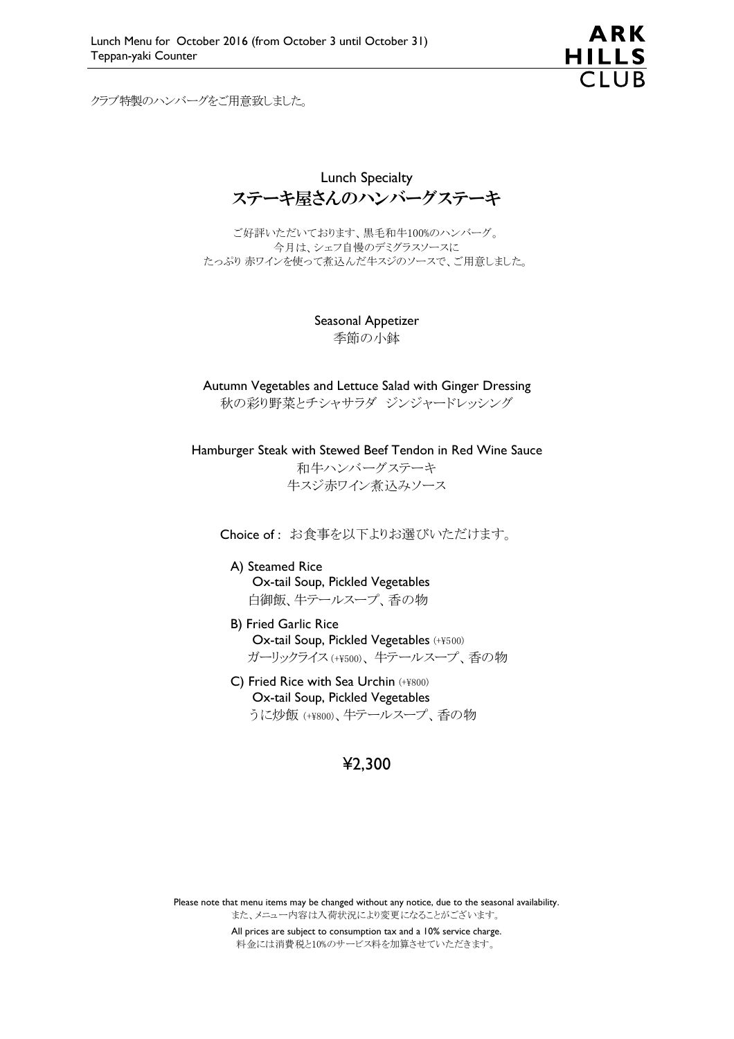

クラブ特製のハンバーグをご用意致しました。

Lunch Specialty ステーキ屋さんのハンバーグステーキ

ご好評いただいております、黒毛和牛100%のハンバーグ。 今月は、シェフ自慢のデミグラスソースに たっぷり 赤ワインを使って煮込んだ牛スジのソースで、ご用意しました。

> Seasonal Appetizer 季節の小鉢

Autumn Vegetables and Lettuce Salad with Ginger Dressing 秋の彩り野菜とチシャサラダ ジンジャードレッシング

Hamburger Steak with Stewed Beef Tendon in Red Wine Sauce 和牛ハンバーグステーキ 牛スジ赤ワイン煮込みソース

Choice of : お食事を以下よりお選びいただけます。

A) Steamed Rice Ox-tail Soup, Pickled Vegetables 白御飯、牛テールスープ、香の物

- B) Fried Garlic Rice Ox-tail Soup, Pickled Vegetables (+¥500) ガーリックライス (+¥500)、 牛テールスープ、香の物
- C) Fried Rice with Sea Urchin (+¥800) Ox-tail Soup, Pickled Vegetables うに炒飯 (+¥800)、牛テールスープ、香の物

#### ¥2,300

Please note that menu items may be changed without any notice, due to the seasonal availability. また、メニュー内容は入荷状況により変更になることがございます。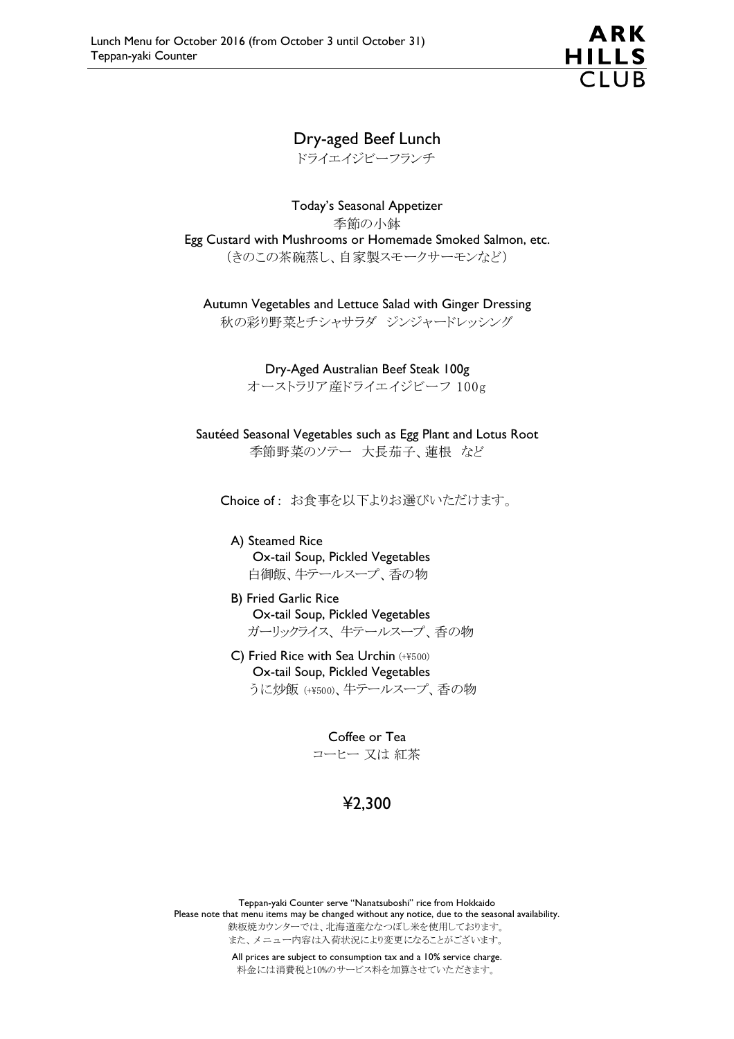

# Dry-aged Beef Lunch

ドライエイジビーフランチ

Today's Seasonal Appetizer 季節の小鉢 Egg Custard with Mushrooms or Homemade Smoked Salmon, etc. (きのこの茶碗蒸し、自家製スモークサーモンなど)

Autumn Vegetables and Lettuce Salad with Ginger Dressing 秋の彩り野菜とチシャサラダ ジンジャードレッシング

> Dry-Aged Australian Beef Steak 100g オーストラリア産ドライエイジビーフ 100g

Sautéed Seasonal Vegetables such as Egg Plant and Lotus Root 季節野菜のソテー 大長茄子、蓮根 など

Choice of : お食事を以下よりお選びいただけます。

A) Steamed Rice Ox-tail Soup, Pickled Vegetables 白御飯、牛テールスープ、香の物

- B) Fried Garlic Rice Ox-tail Soup, Pickled Vegetables ガーリックライス、 牛テールスープ、香の物
- C) Fried Rice with Sea Urchin (+¥500) Ox-tail Soup, Pickled Vegetables うに炒飯 (+¥500)、牛テールスープ、香の物

Coffee or Tea コーヒー 又は 紅茶

# ¥2,300

Teppan-yaki Counter serve "Nanatsuboshi" rice from Hokkaido Please note that menu items may be changed without any notice, due to the seasonal availability. 鉄板焼カウンターでは、北海道産ななつぼし米を使用しております。 また、メニュー内容は入荷状況により変更になることがございます。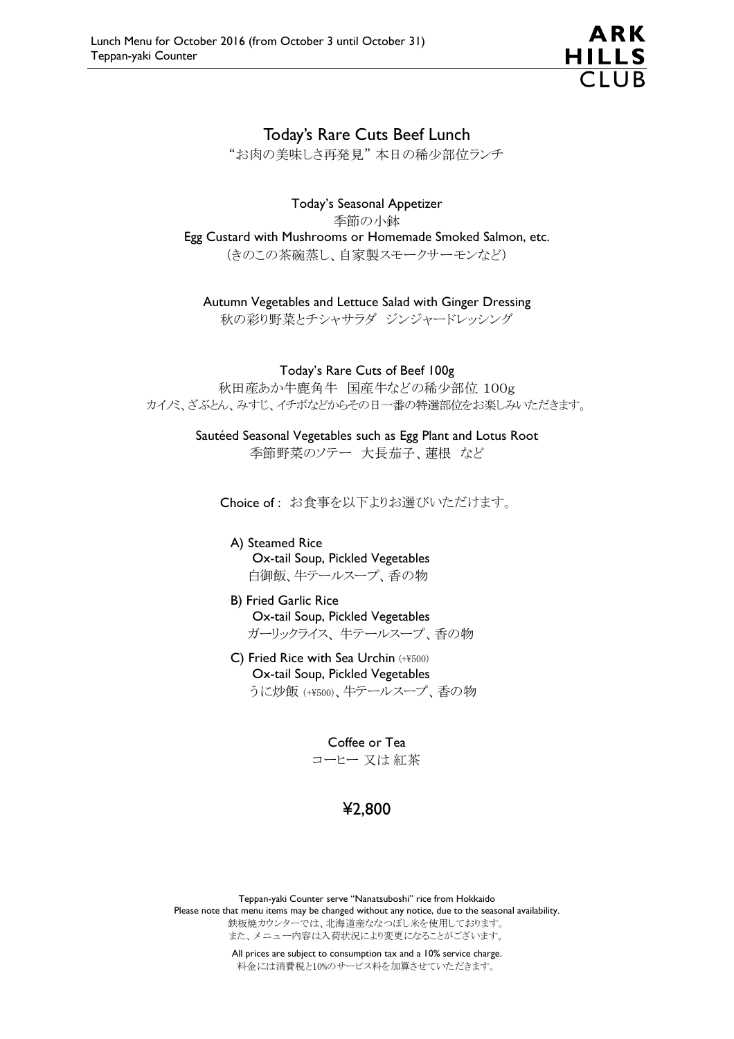

#### Today's Rare Cuts Beef Lunch

"お肉の美味しさ再発見" 本日の稀少部位ランチ

Today's Seasonal Appetizer 季節の小鉢 Egg Custard with Mushrooms or Homemade Smoked Salmon, etc. (きのこの茶碗蒸し、自家製スモークサーモンなど)

Autumn Vegetables and Lettuce Salad with Ginger Dressing

秋の彩り野菜とチシャサラダ ジンジャードレッシング

Today's Rare Cuts of Beef 100g 秋田産あか牛鹿角牛 国産牛などの稀少部位 100g カイノミ、ざぶとん、みすじ、イチボなどからその日一番の特選部位をお楽しみいただきます。

> Sautéed Seasonal Vegetables such as Egg Plant and Lotus Root 季節野菜のソテー 大長茄子、蓮根 など

Choice of : お食事を以下よりお選びいただけます。

- A) Steamed Rice Ox-tail Soup, Pickled Vegetables 白御飯、牛テールスープ、香の物
- B) Fried Garlic Rice Ox-tail Soup, Pickled Vegetables ガーリックライス、 牛テールスープ、香の物
- C) Fried Rice with Sea Urchin (+¥500) Ox-tail Soup, Pickled Vegetables うに炒飯 (+¥500)、牛テールスープ、香の物

Coffee or Tea コーヒー 又は 紅茶

# ¥2,800

Teppan-yaki Counter serve "Nanatsuboshi" rice from Hokkaido Please note that menu items may be changed without any notice, due to the seasonal availability. 鉄板焼カウンターでは、北海道産ななつぼし米を使用しております。 また、メニュー内容は入荷状況により変更になることがございます。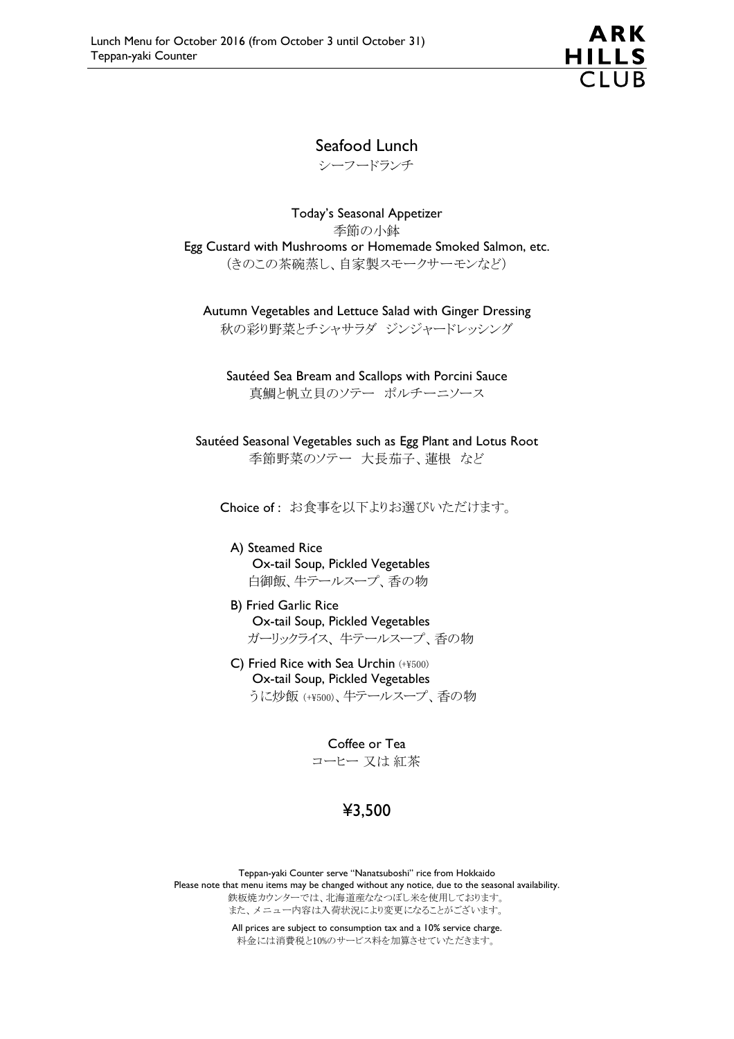

### Seafood Lunch

シーフードランチ

Today's Seasonal Appetizer 季節の小鉢 Egg Custard with Mushrooms or Homemade Smoked Salmon, etc. (きのこの茶碗蒸し、自家製スモークサーモンなど)

Autumn Vegetables and Lettuce Salad with Ginger Dressing 秋の彩り野菜とチシャサラダ ジンジャードレッシング

Sautéed Sea Bream and Scallops with Porcini Sauce 真鯛と帆立貝のソテー ポルチーニソース

Sautéed Seasonal Vegetables such as Egg Plant and Lotus Root 季節野菜のソテー 大長茄子、蓮根 など

Choice of : お食事を以下よりお選びいただけます。

A) Steamed Rice Ox-tail Soup, Pickled Vegetables 白御飯、牛テールスープ、香の物

- B) Fried Garlic Rice Ox-tail Soup, Pickled Vegetables ガーリックライス、 牛テールスープ、香の物
- C) Fried Rice with Sea Urchin (+¥500) Ox-tail Soup, Pickled Vegetables うに炒飯 (+¥500)、牛テールスープ、香の物

Coffee or Tea コーヒー 又は 紅茶

# ¥3,500

Teppan-yaki Counter serve "Nanatsuboshi" rice from Hokkaido Please note that menu items may be changed without any notice, due to the seasonal availability. 鉄板焼カウンターでは、北海道産ななつぼし米を使用しております。 また、メニュー内容は入荷状況により変更になることがございます。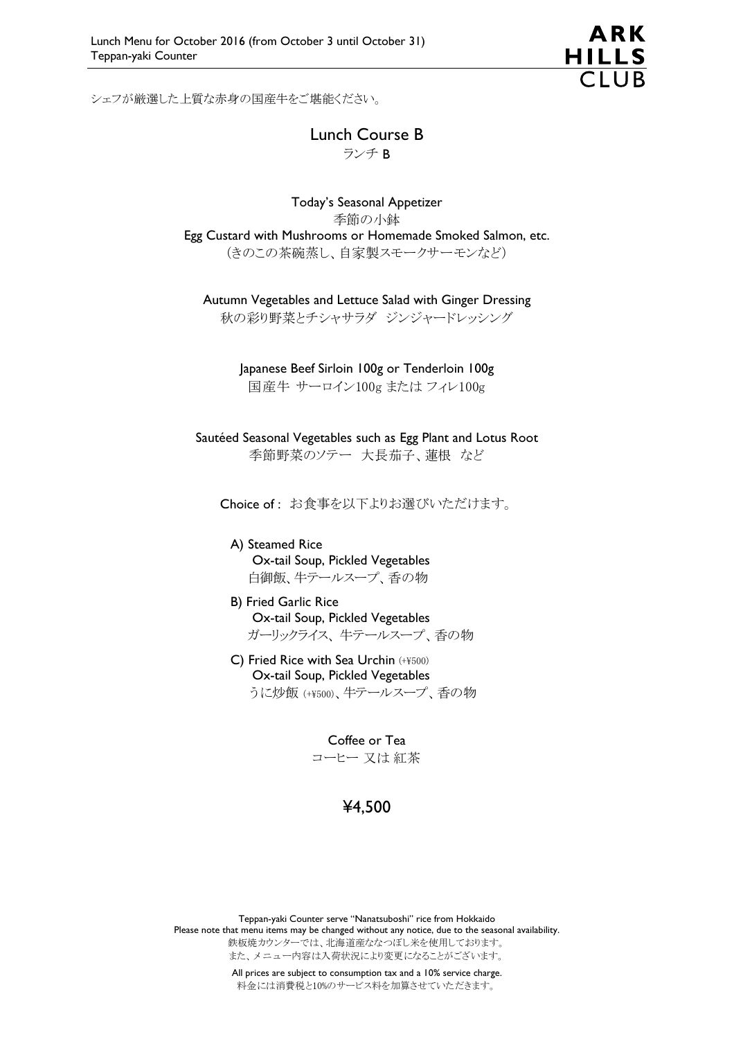

シェフが厳選した上質な赤身の国産牛をご堪能ください。

Today's Seasonal Appetizer 季節の小鉢 Egg Custard with Mushrooms or Homemade Smoked Salmon, etc. (きのこの茶碗蒸し、自家製スモークサーモンなど)

Autumn Vegetables and Lettuce Salad with Ginger Dressing 秋の彩り野菜とチシャサラダ ジンジャードレッシング

> Japanese Beef Sirloin 100g or Tenderloin 100g 国産牛 サーロイン100g または フィレ100g

Sautéed Seasonal Vegetables such as Egg Plant and Lotus Root 季節野菜のソテー 大長茄子、蓮根 など

Choice of : お食事を以下よりお選びいただけます。

A) Steamed Rice Ox-tail Soup, Pickled Vegetables 白御飯、牛テールスープ、香の物

- B) Fried Garlic Rice Ox-tail Soup, Pickled Vegetables ガーリックライス、 牛テールスープ、香の物
- C) Fried Rice with Sea Urchin (+¥500) Ox-tail Soup, Pickled Vegetables うに炒飯 (+¥500)、牛テールスープ、香の物

Coffee or Tea コーヒー 又は 紅茶

### ¥4,500

Teppan-yaki Counter serve "Nanatsuboshi" rice from Hokkaido Please note that menu items may be changed without any notice, due to the seasonal availability. 鉄板焼カウンターでは、北海道産ななつぼし米を使用しております。 また、メニュー内容は入荷状況により変更になることがございます。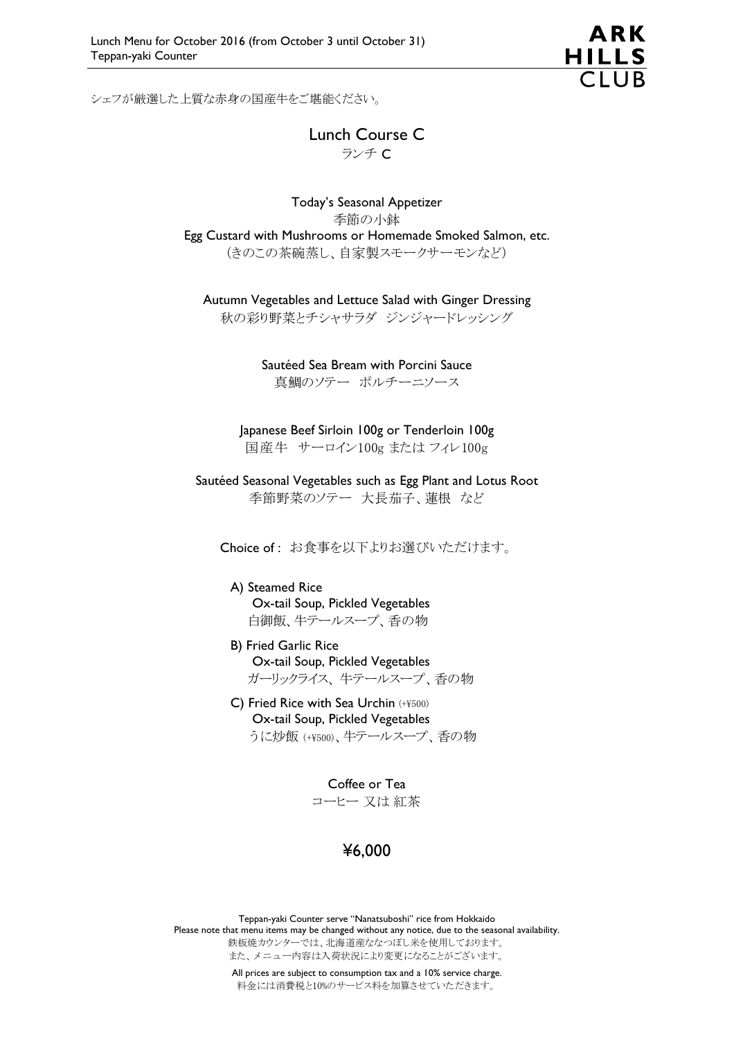

シェフが厳選した上質な赤身の国産牛をご堪能ください。

Lunch Course C ランチ C

Today's Seasonal Appetizer 季節の小鉢 Egg Custard with Mushrooms or Homemade Smoked Salmon, etc. (きのこの茶碗蒸し、自家製スモークサーモンなど)

Autumn Vegetables and Lettuce Salad with Ginger Dressing 秋の彩り野菜とチシャサラダ ジンジャードレッシング

> Sautéed Sea Bream with Porcini Sauce 真鯛のソテー ポルチーニソース

Japanese Beef Sirloin 100g or Tenderloin 100g 国産牛 サーロイン100g または フィレ100g

Sautéed Seasonal Vegetables such as Egg Plant and Lotus Root 季節野菜のソテー 大長茄子、蓮根 など

Choice of : お食事を以下よりお選びいただけます。

#### A) Steamed Rice Ox-tail Soup, Pickled Vegetables 白御飯、牛テールスープ、香の物

- B) Fried Garlic Rice Ox-tail Soup, Pickled Vegetables ガーリックライス、 牛テールスープ、香の物
- C) Fried Rice with Sea Urchin (+¥500) Ox-tail Soup, Pickled Vegetables うに炒飯 (+¥500)、牛テールスープ、香の物

Coffee or Tea コーヒー 又は 紅茶

### ¥6,000

Teppan-yaki Counter serve "Nanatsuboshi" rice from Hokkaido Please note that menu items may be changed without any notice, due to the seasonal availability. 鉄板焼カウンターでは、北海道産ななつぼし米を使用しております。 また、メニュー内容は入荷状況により変更になることがございます。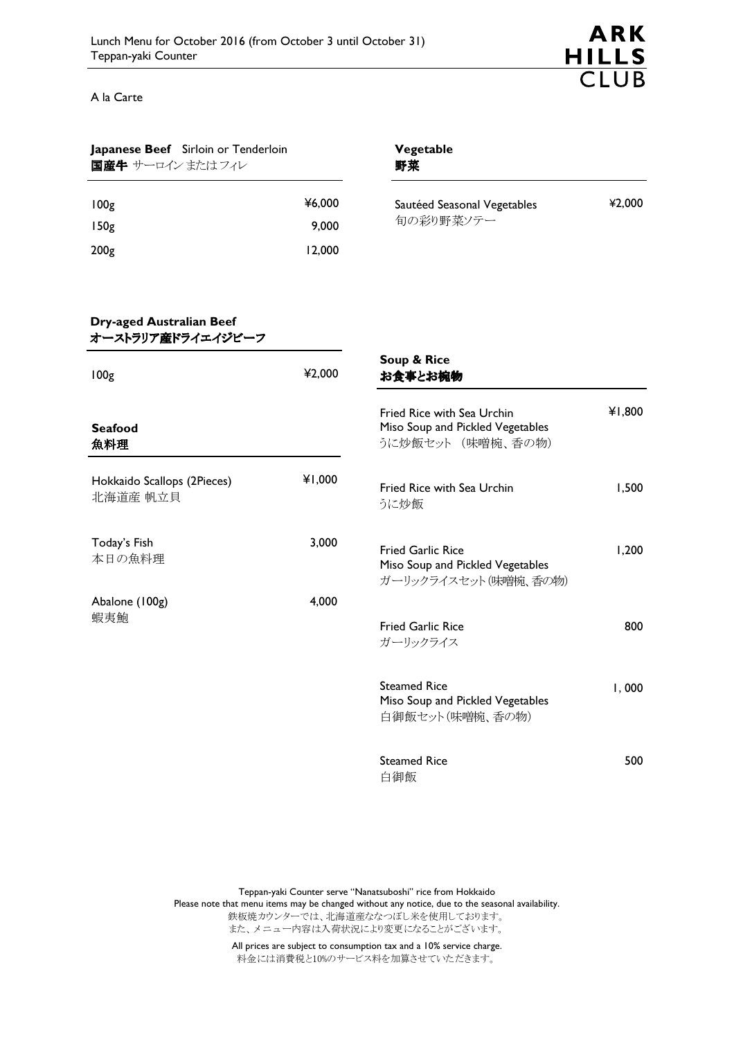

A la Carte

| Japanese Beef Sirloin or Tenderloin<br>国産牛 サーロイン またはフィレ |                 | Vegetable<br>野菜                                                                      |        |
|---------------------------------------------------------|-----------------|--------------------------------------------------------------------------------------|--------|
| 100 <sub>g</sub><br>150 <sub>g</sub>                    | ¥6,000<br>9,000 | Sautéed Seasonal Vegetables<br>旬の彩り野菜ソテー                                             | ¥2,000 |
| 200 <sub>g</sub>                                        | 12,000          |                                                                                      |        |
| Dry-aged Australian Beef<br>オーストラリア産ドライエイジビーフ           |                 |                                                                                      |        |
| 100 <sub>g</sub>                                        | ¥2,000          | Soup & Rice<br>お食事とお椀物                                                               |        |
| <b>Seafood</b><br>魚料理                                   |                 | Fried Rice with Sea Urchin<br>Miso Soup and Pickled Vegetables<br>うに炒飯セット (味噌椀、香の物)  | ¥1,800 |
| Hokkaido Scallops (2Pieces)<br>北海道産 帆立貝                 | ¥1,000          | Fried Rice with Sea Urchin<br>うに炒飯                                                   | 1,500  |
| Today's Fish<br>本日の魚料理                                  | 3,000           | <b>Fried Garlic Rice</b><br>Miso Soup and Pickled Vegetables<br>ガーリックライスセット(味噌椀、香の物) | 1,200  |
| Abalone (100g)<br>蝦夷鮑                                   | 4,000           | <b>Fried Garlic Rice</b><br>ガーリックライス                                                 | 800    |
|                                                         |                 | <b>Steamed Rice</b><br>Miso Soup and Pickled Vegetables<br>白御飯セット(味噌椀、香の物)           | I,000  |
|                                                         |                 | <b>Steamed Rice</b><br>白御飯                                                           | 500    |

Teppan-yaki Counter serve "Nanatsuboshi" rice from Hokkaido Please note that menu items may be changed without any notice, due to the seasonal availability. 鉄板焼カウンターでは、北海道産ななつぼし米を使用しております。 また、メニュー内容は入荷状況により変更になることがございます。